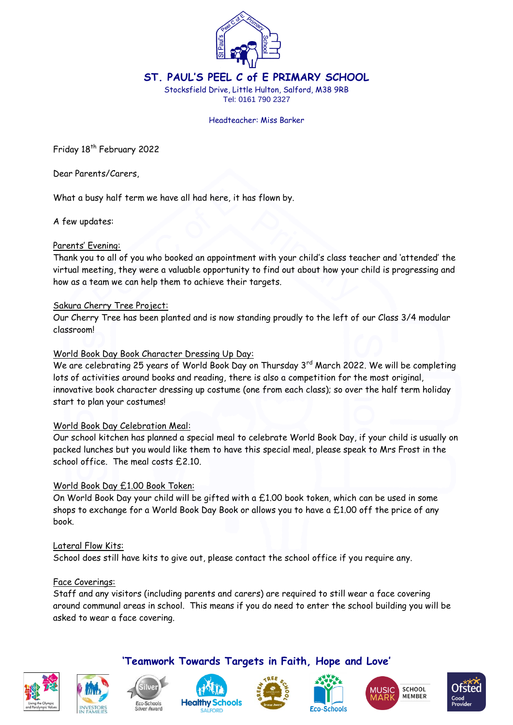

**ST. PAUL'S PEEL C of E PRIMARY SCHOOL**

Stocksfield Drive, Little Hulton, Salford, M38 9RB Tel: 0161 790 2327

#### Headteacher: Miss Barker

Friday 18<sup>th</sup> February 2022

Dear Parents/Carers,

What a busy half term we have all had here, it has flown by.

A few updates:

## Parents' Evening:

Thank you to all of you who booked an appointment with your child's class teacher and 'attended' the virtual meeting, they were a valuable opportunity to find out about how your child is progressing and how as a team we can help them to achieve their targets.

## Sakura Cherry Tree Project:

Our Cherry Tree has been planted and is now standing proudly to the left of our Class 3/4 modular classroom!

## World Book Day Book Character Dressing Up Day:

We are celebrating 25 years of World Book Day on Thursday 3<sup>rd</sup> March 2022. We will be completing lots of activities around books and reading, there is also a competition for the most original, innovative book character dressing up costume (one from each class); so over the half term holiday start to plan your costumes!

### World Book Day Celebration Meal:

Our school kitchen has planned a special meal to celebrate World Book Day, if your child is usually on packed lunches but you would like them to have this special meal, please speak to Mrs Frost in the school office. The meal costs £2.10.

### World Book Day £1.00 Book Token:

On World Book Day your child will be gifted with a £1.00 book token, which can be used in some shops to exchange for a World Book Day Book or allows you to have a £1.00 off the price of any book.

### Lateral Flow Kits:

School does still have kits to give out, please contact the school office if you require any.

### Face Coverings:

Staff and any visitors (including parents and carers) are required to still wear a face covering around communal areas in school. This means if you do need to enter the school building you will be asked to wear a face covering.

**'Teamwork Towards Targets in Faith, Hope and Love'**